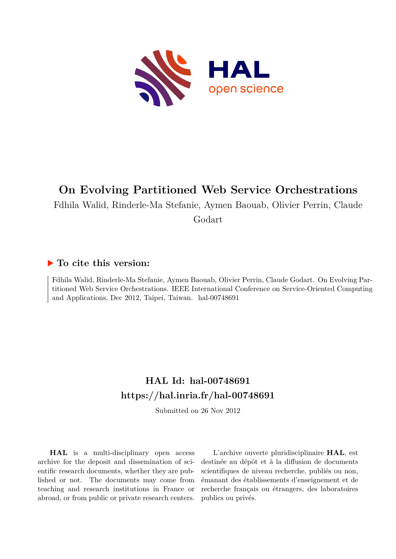

## **On Evolving Partitioned Web Service Orchestrations**

Fdhila Walid, Rinderle-Ma Stefanie, Aymen Baouab, Olivier Perrin, Claude

Godart

## **To cite this version:**

Fdhila Walid, Rinderle-Ma Stefanie, Aymen Baouab, Olivier Perrin, Claude Godart. On Evolving Partitioned Web Service Orchestrations. IEEE International Conference on Service-Oriented Computing and Applications, Dec 2012, Taipei, Taiwan. hal-00748691

## **HAL Id: hal-00748691 <https://hal.inria.fr/hal-00748691>**

Submitted on 26 Nov 2012

**HAL** is a multi-disciplinary open access archive for the deposit and dissemination of scientific research documents, whether they are published or not. The documents may come from teaching and research institutions in France or abroad, or from public or private research centers.

L'archive ouverte pluridisciplinaire **HAL**, est destinée au dépôt et à la diffusion de documents scientifiques de niveau recherche, publiés ou non, émanant des établissements d'enseignement et de recherche français ou étrangers, des laboratoires publics ou privés.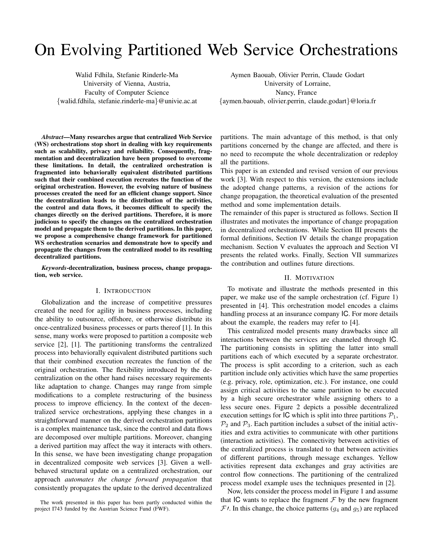# On Evolving Partitioned Web Service Orchestrations

Walid Fdhila, Stefanie Rinderle-Ma University of Vienna, Austria, Faculty of Computer Science {walid.fdhila, stefanie.rinderle-ma}@univie.ac.at

Aymen Baouab, Olivier Perrin, Claude Godart University of Lorraine, Nancy, France {aymen.baouab, olivier.perrin, claude.godart}@loria.fr

*Abstract*—Many researches argue that centralized Web Service (WS) orchestrations stop short in dealing with key requirements such as scalability, privacy and reliability. Consequently, fragmentation and decentralization have been proposed to overcome these limitations. In detail, the centralized orchestration is fragmented into behaviorally equivalent distributed partitions such that their combined execution recreates the function of the original orchestration. However, the evolving nature of business processes created the need for an efficient change support. Since the decentralization leads to the distribution of the activities, the control and data flows, it becomes difficult to specify the changes directly on the derived partitions. Therefore, it is more judicious to specify the changes on the centralized orchestration model and propagate them to the derived partitions. In this paper, we propose a comprehensive change framework for partitioned WS orchestration scenarios and demonstrate how to specify and propagate the changes from the centralized model to its resulting decentralized partitions.

*Keywords*-decentralization, business process, change propagation, web service.

#### I. INTRODUCTION

Globalization and the increase of competitive pressures created the need for agility in business processes, including the ability to outsource, offshore, or otherwise distribute its once-centralized business processes or parts thereof [1]. In this sense, many works were proposed to partition a composite web service [2], [1]. The partitioning transforms the centralized process into behaviorally equivalent distributed partitions such that their combined execution recreates the function of the original orchestration. The flexibility introduced by the decentralization on the other hand raises necessary requirements like adaptation to change. Changes may range from simple modifications to a complete restructuring of the business process to improve efficiency. In the context of the decentralized service orchestrations, applying these changes in a straightforward manner on the derived orchestration partitions is a complex maintenance task, since the control and data flows are decomposed over multiple partitions. Moreover, changing a derived partition may affect the way it interacts with others. In this sense, we have been investigating change propagation in decentralized composite web services [3]. Given a wellbehaved structural update on a centralized orchestration, our approach *automates the change forward propagation* that consistently propagates the update to the derived decentralized partitions. The main advantage of this method, is that only partitions concerned by the change are affected, and there is no need to recompute the whole decentralization or redeploy all the partitions.

This paper is an extended and revised version of our previous work [3]. With respect to this version, the extensions include the adopted change patterns, a revision of the actions for change propagation, the theoretical evaluation of the presented method and some implementation details.

The remainder of this paper is structured as follows. Section II illustrates and motivates the importance of change propagation in decentralized orchestrations. While Section III presents the formal definitions, Section IV details the change propagation mechanism. Section V evaluates the approach and Section VI presents the related works. Finally, Section VII summarizes the contribution and outlines future directions.

#### II. MOTIVATION

To motivate and illustrate the methods presented in this paper, we make use of the sample orchestration (cf. Figure 1) presented in [4]. This orchestration model encodes a claims handling process at an insurance company IC. For more details about the example, the readers may refer to [4].

This centralized model presents many drawbacks since all interactions between the services are channeled through IC. The partitioning consists in splitting the latter into small partitions each of which executed by a separate orchestrator. The process is split according to a criterion, such as each partition include only activities which have the same properties (e.g. privacy, role, optimization, etc.). For instance, one could assign critical activities to the same partition to be executed by a high secure orchestrator while assigning others to a less secure ones. Figure 2 depicts a possible decentralized execution settings for IC which is split into three partitions  $P_1$ ,  $\mathcal{P}_2$  and  $\mathcal{P}_3$ . Each partition includes a subset of the initial activities and extra activities to communicate with other partitions (interaction activities). The connectivity between activities of the centralized process is translated to that between activities of different partitions, through message exchanges. Yellow activities represent data exchanges and gray activities are control flow connections. The partitioning of the centralized process model example uses the techniques presented in [2].

Now, lets consider the process model in Figure 1 and assume that IC wants to replace the fragment  $\mathcal F$  by the new fragment  $F$ . In this change, the choice patterns ( $g_4$  and  $g_5$ ) are replaced

The work presented in this paper has been partly conducted within the project I743 funded by the Austrian Science Fund (FWF).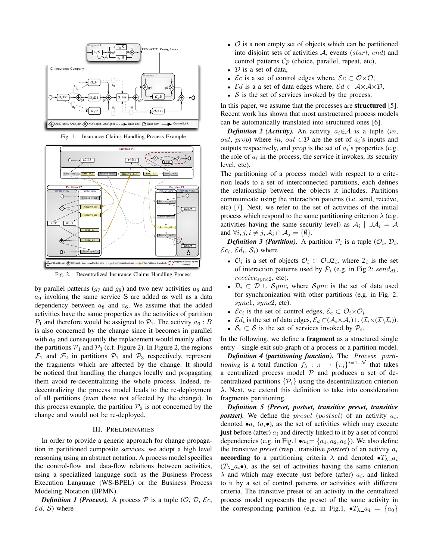

Fig. 1. Insurance Claims Handling Process Example



Fig. 2. Decentralized Insurance Claims Handling Process

by parallel patterns ( $q_7$  and  $q_8$ ) and two new activities  $a_8$  and  $a_9$  invoking the same service S are added as well as a data dependency between  $a_8$  and  $a_6$ . We assume that the added activities have the same properties as the activities of partition  $P_1$  and therefore would be assigned to  $P_1$ . The activity  $a_6 : B$ is also concerned by the change since it becomes in parallel with  $a_9$  and consequently the replacement would mainly affect the partitions  $P_1$  and  $P_3$  (c.f. Figure 2). In Figure 2, the regions  $\mathcal{F}_1$  and  $\mathcal{F}_2$  in partitions  $\mathcal{P}_1$  and  $\mathcal{P}_3$  respectively, represent the fragments which are affected by the change. It should be noticed that handling the changes locally and propagating them avoid re-decentralizing the whole process. Indeed, redecentralizing the process model leads to the re-deployment of all partitions (even those not affected by the change). In this process example, the partition  $\mathcal{P}_2$  is not concerned by the change and would not be re-deployed.

#### III. PRELIMINARIES

In order to provide a generic approach for change propagation in partitioned composite services, we adopt a high level reasoning using an abstract notation. A process model specifies the control-flow and data-flow relations between activities, using a specialized language such as the Business Process Execution Language (WS-BPEL) or the Business Process Modeling Notation (BPMN).

*Definition 1 (Process).* A process  $P$  is a tuple  $(0, D, \mathcal{E}c,$  $\mathcal{E}d$ , S) where

- $\mathcal O$  is a non empty set of objects which can be partitioned into disjoint sets of activities  $A$ , events (start, end) and control patterns  $C_p$  (choice, parallel, repeat, etc),
- $D$  is a set of data,
- $\mathcal{E}c$  is a set of control edges where,  $\mathcal{E}c \subset \mathcal{O}\times\mathcal{O}$ ,
- *Ed* is a a set of data edges where,  $\mathcal{E}d \subset \mathcal{A} \times \mathcal{A} \times \mathcal{D}$ ,
- $\mathcal S$  is the set of services invoked by the process.

In this paper, we assume that the processes are **structured** [5]. Recent work has shown that most unstructured process models can be automatically translated into structured ones [6].

*Definition 2 (Activity).* An activity  $a_i \in \mathcal{A}$  is a tuple (in, *out, prop*) where in, *out*  $\subset \mathcal{D}$  are the set of  $a_i$ 's inputs and outputs respectively, and *prop* is the set of  $a_i$ 's properties (e.g. the role of  $a_i$  in the process, the service it invokes, its security level, etc).

The partitioning of a process model with respect to a criterion leads to a set of interconnected partitions, each defines the relationship between the objects it includes. Partitions communicate using the interaction patterns (i.e. send, receive, etc) [7]. Next, we refer to the set of activities of the initial process which respond to the same partitioning criterion  $\lambda$  (e.g. activities having the same security level) as  $A_i | \cup A_i = A$ and  $\forall i, j, i \neq j, \mathcal{A}_i \cap \mathcal{A}_j = \{\emptyset\}.$ 

**Definition 3 (Partition).** A partition  $P_i$  is a tuple  $(\mathcal{O}_i, \mathcal{D}_i)$ ,  $\mathcal{E}c_i$ ,  $\mathcal{E}d_i$ ,  $\mathcal{S}_i$ ) where

- $\mathcal{O}_i$  is a set of objects  $\mathcal{O}_i \subset \mathcal{O} \cup \mathcal{I}_i$ , where  $\mathcal{I}_i$  is the set of interaction patterns used by  $P_i$  (e.g. in Fig.2: send<sub>d1</sub>,  $receive_{sync2}$ , etc).
- $\mathcal{D}_i \subset \mathcal{D} \cup \text{Sync}$ , where  $\text{Sync}$  is the set of data used for synchronization with other partitions (e.g. in Fig. 2:  $sync1, sync2, etc).$
- $\mathcal{E}c_i$  is the set of control edges,  $\mathcal{E}_c \subset \mathcal{O}_i \times \mathcal{O}_i$
- $\mathcal{E}d_i$  is the set of data edges,  $\mathcal{E}_d \subset (\mathcal{A}_i \times \mathcal{A}_i) \cup (\mathcal{I}_i \times (\mathcal{I} \setminus \mathcal{I}_i)).$
- $S_i \subset S$  is the set of services invoked by  $P_i$ .

In the following, we define a **fragment** as a structured single entry - single exit sub-graph of a process or a partition model.

*Definition 4 (partitioning function).* The *Process partitioning* is a total function  $f_{\lambda} : \pi \rightarrow {\{\pi_i\}}^{i=1..{\mathcal{N}}}$  that takes a centralized process model  $P$  and produces a set of decentralized partitions  $\{\mathcal{P}_i\}$  using the decentralization criterion  $\lambda$ . Next, we extend this definition to take into consideration fragments partitioning.

*Definition 5 (Preset, postset, transitive preset, transitive postset*). We define the *preset* (*postset*) of an activity  $a_i$ , denoted  $\bullet a_i$  ( $a_i \bullet$ ), as the set of activities which may execute just before (after)  $a_i$  and directly linked to it by a set of control dependencies (e.g. in Fig.1  $\bullet a_4 = \{a_1, a_2, a_3\}$ ). We also define the transitive *preset* (resp., transitive *postset*) of an activity  $a_i$ **according to** a partitioning criteria  $\lambda$  and denoted  $\bullet T_{\lambda} a_i$  $(T_{\lambda} a_i \bullet)$ , as the set of activities having the same criterion  $\lambda$  and which may execute just before (after)  $a_i$ , and linked to it by a set of control patterns or activities with different criteria. The transitive preset of an activity in the centralized process model represents the preset of the same activity in the corresponding partition (e.g. in Fig.1,  $\bullet T_{\lambda_4} = \{a_0\}$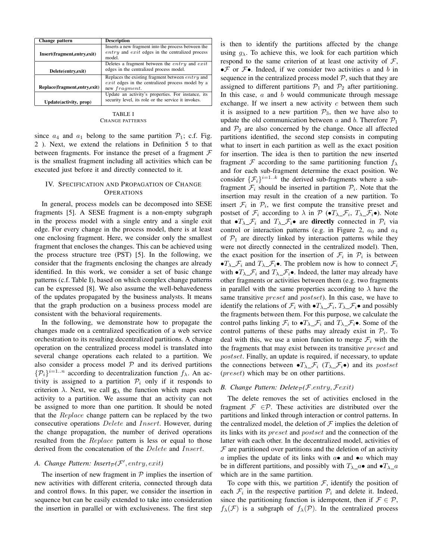| Change pattern                 | <b>Description</b>                                     |
|--------------------------------|--------------------------------------------------------|
|                                | Inserts a new fragment into the process between the    |
| Insert(fragment, entry, exit)  | $entry$ and $exit$ edges in the centralized process    |
|                                | model.                                                 |
|                                | Deletes a fragment between the <i>entry</i> and $exit$ |
| Delete(entry,exit)             | edges in the centralized process model.                |
|                                | Replaces the existing fragment between $entry$ and     |
|                                | $exit$ edges in the centralized process model by a     |
| Replace(fragment, entry, exit) | new fragment.                                          |
|                                | Update an activity's properties. For instance, its     |
| Update(activity, prop)         | security level, its role or the service it invokes.    |

#### TABLE I CHANGE PATTERNS

since  $a_4$  and  $a_1$  belong to the same partition  $P_1$ ; c.f. Fig. 2 ). Next, we extend the relations in Definition 5 to that between fragments. For instance the preset of a fragment  $\mathcal F$ is the smallest fragment including all activities which can be executed just before it and directly connected to it.

### IV. SPECIFICATION AND PROPAGATION OF CHANGE **OPERATIONS**

In general, process models can be decomposed into SESE fragments [5]. A SESE fragment is a non-empty subgraph in the process model with a single entry and a single exit edge. For every change in the process model, there is at least one enclosing fragment. Here, we consider only the smallest fragment that encloses the changes. This can be achieved using the process structure tree (PST) [5]. In the following, we consider that the fragments enclosing the changes are already identified. In this work, we consider a set of basic change patterns (c.f. Table I), based on which complex change patterns can be expressed [8]. We also assume the well-behavedeness of the updates propagated by the business analysts. It means that the graph production on a business process model are consistent with the behavioral requirements.

In the following, we demonstrate how to propagate the changes made on a centralized specification of a web service orchestration to its resulting decentralized partitions. A change operation on the centralized process model is translated into several change operations each related to a partition. We also consider a process model  $P$  and its derived partitions  $\{\mathcal{P}_i\}^{i=1..n}$  according to decentralization function  $f_\lambda$ . An activity is assigned to a partition  $\mathcal{P}_i$  only if it responds to criterion  $\lambda$ . Next, we call  $\mathbf{g}_{\lambda}$  the function which maps each activity to a partition. We assume that an activity can not be assigned to more than one partition. It should be noted that the Replace change pattern can be replaced by the two consecutive operations Delete and Insert. However, during the change propagation, the number of derived operations resulted from the *Replace* pattern is less or equal to those derived from the concatenation of the *Delete* and *Insert*.

## A. Change Pattern: Insert<sub>P</sub>(F', entry, exit)

The insertion of new fragment in  $P$  implies the insertion of new activities with different criteria, connected through data and control flows. In this paper, we consider the insertion in sequence but can be easily extended to take into consideration the insertion in parallel or with exclusiveness. The first step is then to identify the partitions affected by the change using  $g_{\lambda}$ . To achieve this, we look for each partition which respond to the same criterion of at least one activity of  $F$ ,  $\bullet \mathcal{F}$  or  $\mathcal{F}$ . Indeed, if we consider two activities a and b in sequence in the centralized process model  $P$ , such that they are assigned to different partitions  $\mathcal{P}_1$  and  $\mathcal{P}_2$  after partitioning. In this case,  $a$  and  $b$  would communicate through message exchange. If we insert a new activity  $c$  between them such it is assigned to a new partition  $P_3$ , then we have also to update the old communication between  $a$  and  $b$ . Therefore  $\mathcal{P}_1$ and  $\mathcal{P}_2$  are also concerned by the change. Once all affected partitions identified, the second step consists in computing what to insert in each partition as well as the exact position for insertion. The idea is then to partition the new inserted fragment F according to the same partitioning function  $f_{\lambda}$ and for each sub-fragment determine the exact position. We consider  $\{\mathcal{F}_i\}^{i=1..k}$  the derived sub-fragments where a subfragment  $\mathcal{F}_i$  should be inserted in partition  $\mathcal{P}_i$ . Note that the insertion may result in the creation of a new partition. To insert  $\mathcal{F}_i$  in  $\mathcal{P}_i$ , we first compute the transitive preset and postset of  $\mathcal{F}_i$  according to  $\lambda$  in  $\mathcal{P}$  ( $\bullet T_{\lambda}\_\mathcal{F}_i$ ,  $T_{\lambda}\_\mathcal{F}_i\bullet$ ). Note that  $\bullet T_{\lambda}$ ,  $\mathcal{F}_i$  and  $T_{\lambda}$ ,  $\mathcal{F}_i \bullet$  are directly connected in  $\mathcal{P}_i$  via control or interaction patterns (e.g. in Figure 2,  $a_0$  and  $a_4$ of  $P_1$  are directly linked by interaction patterns while they were not directly connected in the centralized model). Then, the exact position for the insertion of  $\mathcal{F}_i$  in  $\mathcal{P}_i$  is between  $\bullet T_{\lambda}$ ,  $\mathcal{F}_i$  and  $T_{\lambda}$ ,  $\mathcal{F}_i$  $\bullet$ . The problem now is how to connect  $\mathcal{F}_i$ with  $\bullet T_{\lambda}$   $\mathcal{F}_i$  and  $T_{\lambda}$   $\mathcal{F}_i \bullet$ . Indeed, the latter may already have other fragments or activities between them (e.g. two fragments in parallel with the same properties according to  $\lambda$  have the same transitive *preset* and *postset*). In this case, we have to identify the relations of  $\mathcal{F}_i$  with  $\bullet T_{\lambda} \_ \mathcal{F}_i$ ,  $T_{\lambda} \_ \mathcal{F}_i \bullet$  and possibly the fragments between them. For this purpose, we calculate the control paths linking  $\mathcal{F}_i$  to  $\bullet T_{\lambda}\_\mathcal{F}_i$  and  $T_{\lambda}\_\mathcal{F}_i\bullet$ . Some of the control patterns of these paths may already exist in  $P_i$ . To deal with this, we use a union function to merge  $\mathcal{F}_i$  with the the fragments that may exist between its transitive *preset* and postset. Finally, an update is required, if necessary, to update the connections between  $\bullet T_{\lambda}\_\mathcal{F}_i$  ( $T_{\lambda}\_\mathcal{F}_i\bullet$ ) and its postset (preset) which may be on other partitions.

### *B. Change Pattern: Delete*<sub> $P$ </sub> *(F.entry, Fexit)*

The delete removes the set of activities enclosed in the fragment  $\mathcal{F} \in \mathcal{P}$ . These activities are distributed over the partitions and linked through interaction or control patterns. In the centralized model, the deletion of  $\mathcal F$  implies the deletion of its links with its preset and postset and the connection of the latter with each other. In the decentralized model, activities of  $F$  are partitioned over partitions and the deletion of an activity a implies the update of its links with  $a \bullet$  and  $\bullet a$  which may be in different partitions, and possibly with  $T_{\lambda} a \bullet$  and  $\bullet T_{\lambda} a$ which are in the same partition.

To cope with this, we partition  $F$ , identify the position of each  $\mathcal{F}_i$  in the respective partition  $\mathcal{P}_i$  and delete it. Indeed, since the partitioning function is idempotent, then if  $\mathcal{F} \in \mathcal{P}$ ,  $f_{\lambda}(\mathcal{F})$  is a subgraph of  $f_{\lambda}(\mathcal{P})$ . In the centralized process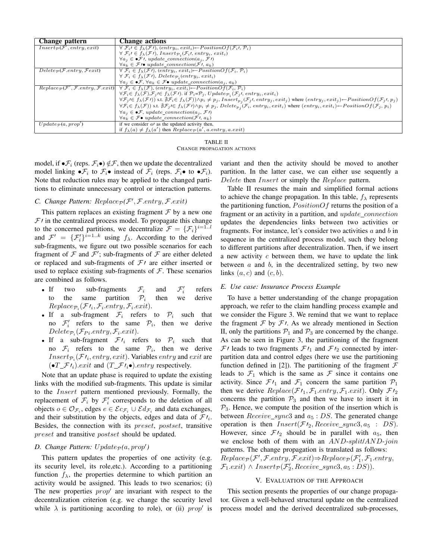| Change pattern                                             | <b>Change actions</b>                                                                                                                                                                                                                                                                                                                                                            |
|------------------------------------------------------------|----------------------------------------------------------------------------------------------------------------------------------------------------------------------------------------------------------------------------------------------------------------------------------------------------------------------------------------------------------------------------------|
| $Insert_{\mathcal{P}}(\mathcal{F}',entry, exit)$           | $\forall \mathcal{F}_i \in f_{\lambda}(\mathcal{F})$ , $(entry_i, exit_i) \leftarrow PositionOf(\mathcal{F}_i, \mathcal{P}_i)$                                                                                                                                                                                                                                                   |
|                                                            | $\forall \mathcal{F}_i \in f_{\lambda}(\mathcal{F})$ , Insert $\mathcal{P}_i(\mathcal{F}_i)$ , entry <sub>i</sub> , exit <sub>i</sub> )                                                                                                                                                                                                                                          |
|                                                            | $\forall a_j \in \bullet \mathcal{F}$ <i>l</i> , update_connection(a <sub>j</sub> , $\mathcal{F}$ <i>l</i> )                                                                                                                                                                                                                                                                     |
|                                                            | $\forall a_k \in \mathcal{F}$ /• update_connection( $\mathcal{F}$ , $a_k$ )                                                                                                                                                                                                                                                                                                      |
| $Delete_{\mathcal{P}}(\mathcal{F}.entry, \mathcal{F}exit)$ | $\forall \mathcal{F}_i \in f_{\lambda}(\mathcal{F})$ , $(entry_i, exit_i) \leftarrow PositionOf(\mathcal{F}_i, \mathcal{P}_i)$                                                                                                                                                                                                                                                   |
|                                                            | $\forall \mathcal{F}_i \in f_{\lambda}(\mathcal{F})$ , Delete $p_i$ (entr $y_i$ , exit <sub>i</sub> )                                                                                                                                                                                                                                                                            |
|                                                            | $\forall a_j \in \bullet \mathcal{F}, \forall a_k \in \mathcal{F} \bullet update\_connection(a_i, a_k)$                                                                                                                                                                                                                                                                          |
|                                                            | $Replace_{\mathcal{P}}(\mathcal{F}', \mathcal{F}.entry, \mathcal{F}.exit) \mid \forall \mathcal{F}_i \in f_{\lambda}(\mathcal{F}), (entry_i, exit_i) \leftarrow PositionOf(\mathcal{F}_i, \mathcal{P}_i)$                                                                                                                                                                        |
|                                                            | $\forall \mathcal{F}_i \in f_{\lambda}(\mathcal{F}), \mathcal{F}_i \in f_{\lambda}(\mathcal{F})$ . if $\mathcal{P}_i = \mathcal{P}_i$ , $Update_{\mathcal{P}_i}(\mathcal{F}_i), entry_i, exit_i)$                                                                                                                                                                                |
|                                                            | $\forall \mathcal{F}_j \in f_\lambda(\mathcal{F}\prime) \text{ s.t. } \nexists \mathcal{F}_i \in f_\lambda(\mathcal{F})) \wedge p_i \neq p_j, \textit{Insert}_{p_j}(\mathcal{F}_j\prime, \textit{entry}_j, \textit{exit}_j) \text{ where } (\textit{entry}_j, \textit{exit}_j) \leftarrow \textit{PositionOf}(\mathcal{F}_j\prime, p_j)$                                         |
|                                                            | $\forall \mathcal{F}_i \in f_{\lambda}(\mathcal{F})) \text{ s.t. } \nexists \mathcal{F}_j \land \nexists \mathcal{F}_j \land \nexists \mathcal{F}_j \land \mathcal{F}_i \neq p_j, \nDelta \mathcal{F}_i \in \mathcal{F}_i(\mathcal{F}_i, \mathit{entry}_i, \mathit{exit}_i) \text{ where } (\mathit{entry}_i, \mathit{exit}_i) \leftarrow \text{PositionOf}(\mathcal{F}_j, p_i)$ |
|                                                            | $\forall a_i \in \bullet \mathcal{F}$ , update_connection( $a_i$ , $\mathcal{F}$ )                                                                                                                                                                                                                                                                                               |
|                                                            | $\forall a_k \in \mathcal{F} \bullet update\_connection(\mathcal{F} \wedge a_k)$                                                                                                                                                                                                                                                                                                 |
| $\overline{Update}_{\mathcal{P}}(a, prop')$                | if we consider $a$ as the updated activity then,                                                                                                                                                                                                                                                                                                                                 |
|                                                            | if $f_{\lambda}(a) \neq f_{\lambda}(a')$ then $Replace_{\mathcal{P}}(a', a-entry, a.exit)$                                                                                                                                                                                                                                                                                       |

TABLE II CHANGE PROPAGATION ACTIONS

model, if  $\bullet \mathcal{F}_i$  (reps.  $\mathcal{F}_i \bullet$ )  $\notin \mathcal{F}$ , then we update the decentralized model linking  $\bullet \mathcal{F}_i$  to  $\mathcal{F}_i \bullet$  instead of  $\mathcal{F}_i$  (reps.  $\mathcal{F}_i \bullet$  to  $\bullet \mathcal{F}_i$ ). Note that reduction rules may be applied to the changed partitions to eliminate unnecessary control or interaction patterns.

## *C.* Change Pattern:  $Replace_{\mathcal{P}}(\mathcal{F}', \mathcal{F}.entry, \mathcal{F}.exit)$

This pattern replaces an existing fragment  $\mathcal F$  by a new one  $F/$  in the centralized process model. To propagate this change to the concerned partitions, we decentralize  $\mathcal{F} = {\{\mathcal{F}_i\}}^{i=1..l}$ and  $\mathcal{F}' = {\{\mathcal{F}'_i\}}^{i=1..k}$  using  $f_{\lambda}$ . According to the derived sub-fragments, we figure out two possible scenarios for each fragment of  $\mathcal F$  and  $\mathcal F'$ ; sub-fragments of  $\mathcal F$  are either deleted or replaced and sub-fragments of  $\mathcal{F}$  are either inserted or used to replace existing sub-fragments of  $F$ . These scenarios are combined as follows.

- If two sub-fragments  $\mathcal{F}_i$  and ′ i refers to the same partition  $\mathcal{P}_i$ then we derive  $Replace_{\mathcal{P}_i}(\mathcal{F}l_i, \mathcal{F}_i-entry, \mathcal{F}_i.exit).$
- If a sub-fragment  $\mathcal{F}_i$  refers to  $\mathcal{P}_i$  such that no  $\mathcal{F}'_i$  refers to the same  $\mathcal{P}_i$ , then we derive  $Delete_{\mathcal{P}_i}(\mathcal{F}_{Pi}.entry, \mathcal{F}_i.exit).$
- If a sub-fragment  $\mathcal{F}l_i$  refers to  $\mathcal{P}_i$  such that no  $\mathcal{F}_i$  refers to the same  $\mathcal{P}_i$ , then we derive  $Insert_{\mathcal{P}_i}(\mathcal{F}t_i, entry, exit)$ . Variables  $entry$  and  $exit$  are  $\left(\bullet T_{-} \mathcal{F} t_{i}\right)$ .exit and  $\left(T_{-} \mathcal{F} t_{i}\bullet\right)$ .entry respectively.

Note that an update phase is required to update the existing links with the modified sub-fragments. This update is similar to the Insert pattern mentioned previously. Formally, the replacement of  $\mathcal{F}_i$  by  $\mathcal{F}'_i$  corresponds to the deletion of all objects  $o \in \mathcal{O}_{\mathcal{F}_i}$ , edges  $e \in \mathcal{E} c_{\mathcal{F}_i} \cup \mathcal{E} d_{\mathcal{F}_i}$  and data exchanges, and their substitution by the objects, edges and data of  $\mathcal{F}i_i$ . Besides, the connection with its preset, postset, transitive preset and transitive *postset* should be updated.

## $D.$  *Change Pattern:*  $Update_{\mathcal{P}}(a, prop')$

This pattern updates the properties of one activity (e.g. its security level, its role,etc.). According to a partitioning function  $f_{\lambda}$ , the properties determine to which partition an activity would be assigned. This leads to two scenarios; (i) The new properties  $prop'$  are invariant with respect to the decentralization criterion (e.g. we change the security level while  $\lambda$  is partitioning according to role), or (ii) prop' is variant and then the activity should be moved to another partition. In the latter case, we can either use sequently a Delete then *Insert* or simply the *Replace* pattern.

Table II resumes the main and simplified formal actions to achieve the change propagation. In this table,  $f_{\lambda}$  represents the partitioning function,  $PositionOf$  returns the position of a fragment or an activity in a partition, and  $update\_connection$ updates the dependencies links between two activities or fragments. For instance, let's consider two activities  $a$  and  $b$  in sequence in the centralized process model, such they belong to different partitions after decentralization. Then, if we insert a new activity  $c$  between them, we have to update the link between  $a$  and  $b$ , in the decentralized setting, by two new links  $(a, c)$  and  $(c, b)$ .

### *E. Use case: Insurance Process Example*

To have a better understanding of the change propagation approach, we refer to the claim handling process example and we consider the Figure 3. We remind that we want to replace the fragment  $\mathcal F$  by  $\mathcal F$ . As we already mentioned in Section II, only the partitions  $P_1$  and  $P_3$  are concerned by the change. As can be seen in Figure 3, the partitioning of the fragment  $\mathcal{F}$  / leads to two fragments  $\mathcal{F}$  /<sub>1</sub> and  $\mathcal{F}$  /<sub>2</sub> connected by interpartition data and control edges (here we use the partitioning function defined in [2]). The partitioning of the fragment  $\mathcal F$ leads to  $\mathcal{F}_1$  which is the same as  $\mathcal F$  since it contains one activity. Since  $\mathcal{F}I_1$  and  $\mathcal{F}_1$  concern the same partition  $\mathcal{P}_1$ then we derive  $Replace(\mathcal{F}l_1, \mathcal{F}_1. entry, \mathcal{F}_1. exit)$ . Only  $\mathcal{F}l_2$ concerns the partition  $P_3$  and then we have to insert it in  $P_3$ . Hence, we compute the position of the insertion which is between  $Receive\_sync3$  and  $a_5 : DS$ . The generated change operation is then  $Insert(\mathcal{F}\prime_2, Receiver\_sync3, a_5 : DS)$ . However, since  $\mathcal{F}I_2$  should be in parallel with  $a_5$ , then we enclose both of them with an AND-split/AND-join patterns. The change propagation is translated as follows:  $Replace_{\mathcal{P}}(\mathcal{F}', \mathcal{F}.entry, \mathcal{F}.exit) \Rightarrow Replace_{\mathcal{P}}(\mathcal{F}'_1, \mathcal{F}_1.entry,$  $\mathcal{F}_1. exit) \wedge Insert_{\mathcal{P}}(\mathcal{F}'_2, Receiver\_sync3, a_5 : DS)).$ 

### V. EVALUATION OF THE APPROACH

This section presents the properties of our change propagator. Given a well-behaved structural update on the centralized process model and the derived decentralized sub-processes,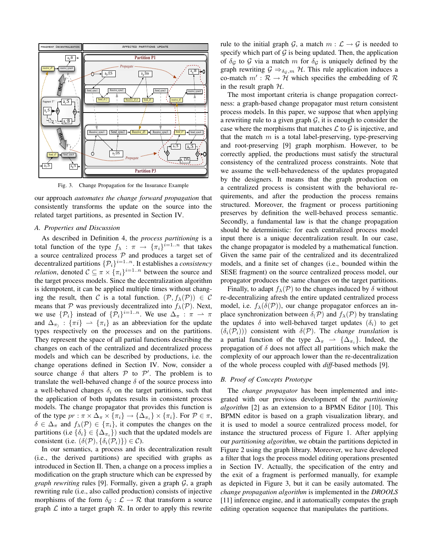

Fig. 3. Change Propagation for the Insurance Example

our approach *automates the change forward propagation* that consistently transforms the update on the source into the related target partitions, as presented in Section IV.

#### *A. Properties and Discussion*

As described in Definition 4, the *process partitioning* is a total function of the type  $f_{\lambda} : \pi \rightarrow {\{\pi_i\}}^{i=1..n}$  that takes a source centralized process  $P$  and produces a target set of decentralized partitions  $\{\mathcal{P}_i\}^{i=1..n}$ . It establishes a *consistency relation*, denoted  $C \subseteq \pi \times {\{\pi_i\}}^{i=1..n}$  between the source and the target process models. Since the decentralization algorithm is idempotent, it can be applied multiple times without changing the result, then C is a total function.  $(\mathcal{P}, f_{\lambda}(\mathcal{P})) \in \mathcal{C}$ means that P was previously decentralized into  $f_{\lambda}(\mathcal{P})$ . Next, we use  $\{\mathcal{P}_i\}$  instead of  $\{\mathcal{P}_i\}^{i=1..n}$ . We use  $\Delta_{\pi} : \pi \to \pi$ and  $\Delta_{\pi}$ :  $\{\pi i\}$   $\rightarrow$   $\{\pi_i\}$  as an abbreviation for the update types respectively on the processes and on the partitions. They represent the space of all partial functions describing the changes on each of the centralized and decentralized process models and which can be described by productions, i.e. the change operations defined in Section IV. Now, consider a source change  $\delta$  that alters  $\mathcal P$  to  $\mathcal P'$ . The problem is to translate the well-behaved change  $\delta$  of the source process into a well-behaved changes  $\delta_i$  on the target partitions, such that the application of both updates results in consistent process models. The change propagator that provides this function is of the type  $pr : \pi \times \Delta_{\pi} \times {\{\pi_i\}} \to {\{\Delta_{\pi_i}\}} \times {\{\pi_i\}}$ . For  $P \in \pi$ ,  $\delta \in \Delta_{\pi}$  and  $f_{\lambda}(\mathcal{P}) \in {\{\pi_i\}}$ , it computes the changes on the partitions (i.e  $\{\delta_i\} \in \{\Delta_{\pi_i}\}\)$  such that the updated models are consistent (i.e.  $(\delta(\mathcal{P}), {\delta_i(\mathcal{P}_i)} \) \in \mathcal{C}$ ).

In our semantics, a process and its decentralization result (i.e., the derived partitions) are specified with graphs as introduced in Section II. Then, a change on a process implies a modification on the graph structure which can be expressed by *graph rewriting* rules [9]. Formally, given a graph G, a graph rewriting rule (i.e., also called production) consists of injective morphisms of the form  $\delta_{\mathcal{G}} : \mathcal{L} \to \mathcal{R}$  that transform a source graph  $\mathcal L$  into a target graph  $\mathcal R$ . In order to apply this rewrite rule to the initial graph G, a match  $m : \mathcal{L} \to \mathcal{G}$  is needed to specify which part of  $G$  is being updated. Then, the application of  $\delta_{\mathcal{G}}$  to  $\mathcal{G}$  via a match m for  $\delta_{\mathcal{G}}$  is uniquely defined by the graph rewriting  $\mathcal{G} \Rightarrow_{\delta_{\mathcal{G}},m} \mathcal{H}$ . This rule application induces a co-match  $m': \mathcal{R} \to \mathcal{H}$  which specifies the embedding of  $\mathcal{R}$ in the result graph  $H$ .

The most important criteria is change propagation correctness: a graph-based change propagator must return consistent process models. In this paper, we suppose that when applying a rewriting rule to a given graph  $G$ , it is enough to consider the case where the morphisms that matches  $\mathcal L$  to  $\mathcal G$  is injective, and that the match  $m$  is a total label-preserving, type-preserving and root-preserving [9] graph morphism. However, to be correctly applied, the productions must satisfy the structural consistency of the centralized process constraints. Note that we assume the well-behavedeness of the updates propagated by the designers. It means that the graph production on a centralized process is consistent with the behavioral requirements, and after the production the process remains structured. Moreover, the fragment or process partitioning preserves by definition the well-behaved process semantic. Secondly, a fundamental law is that the change propagation should be deterministic: for each centralized process model input there is a unique decentralization result. In our case, the change propagator is modeled by a mathematical function. Given the same pair of the centralized and its decentralized models, and a finite set of changes (i.e., bounded within the SESE fragment) on the source centralized process model, our propagator produces the same changes on the target partitions.

Finally, to adapt  $f_{\lambda}(\mathcal{P})$  to the changes induced by  $\delta$  without re-decentralizing afresh the entire updated centralized process model, i.e.  $f_{\lambda}(\delta(\mathcal{P}))$ , our change propagator enforces an inplace synchronization between  $\delta(P)$  and  $f_{\lambda}(P)$  by translating the updates  $\delta$  into well-behaved target updates  $(\delta_i)$  to get  $(\delta_i(\mathcal{P}_i))$  consistent with  $\delta(\mathcal{P})$ . The *change translation* is a partial function of the type  $\Delta_{\pi} \rightarrow {\Delta_{\pi_i}}$ . Indeed, the propagation of  $\delta$  does not affect all partitions which make the complexity of our approach lower than the re-decentralization of the whole process coupled with *diff*-based methods [9].

#### *B. Proof of Concepts Prototype*

The *change propagator* has been implemented and integrated with our previous development of the *partitioning algorithm* [2] as an extension to a BPMN Editor [10]. This BPMN editor is based on a graph visualization library, and it is used to model a source centralized process model, for instance the structured process of Figure 1. After applying our *partitioning algorithm*, we obtain the partitions depicted in Figure 2 using the graph library. Moreover, we have developed a filter that logs the process model editing operations presented in Section IV. Actually, the specification of the entry and the exit of a fragment is performed manually, for example as depicted in Figure 3, but it can be easily automated. The *change propagation algorithm* is implemented in the *DROOLS* [11] inference engine, and it automatically computes the graph editing operation sequence that manipulates the partitions.